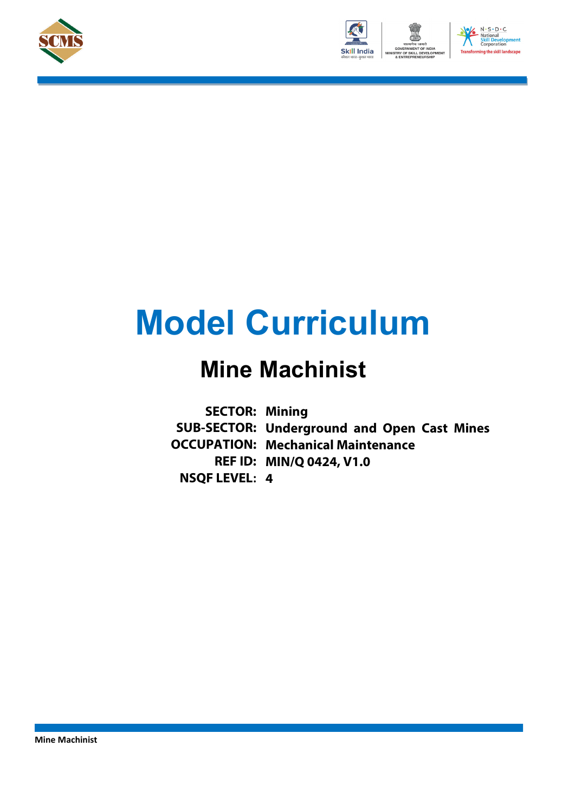





# **Model Curriculum**

## **Mine Machinist**

**SECTOR: Mining SUB-SECTOR: Underground and Open Cast Mines OCCUPATION: Mechanical Maintenance REF ID: MIN/Q 0424, V1.0 NSQF LEVEL: 4**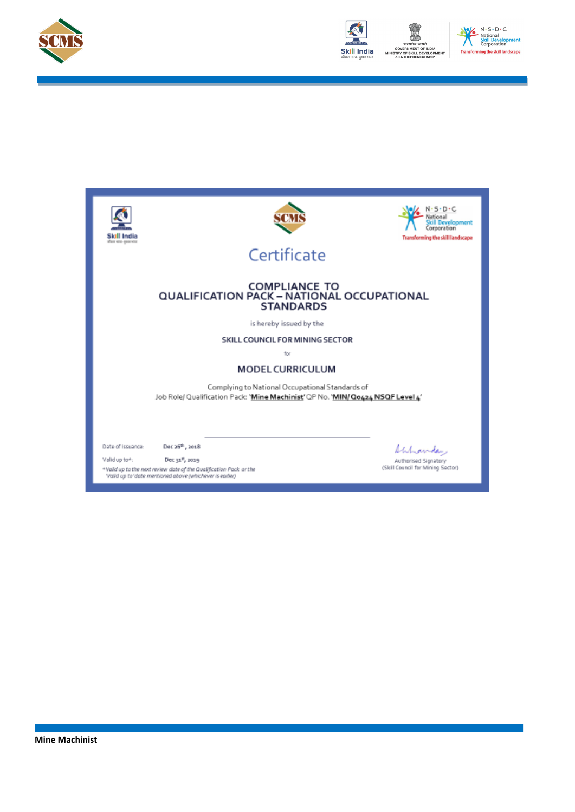



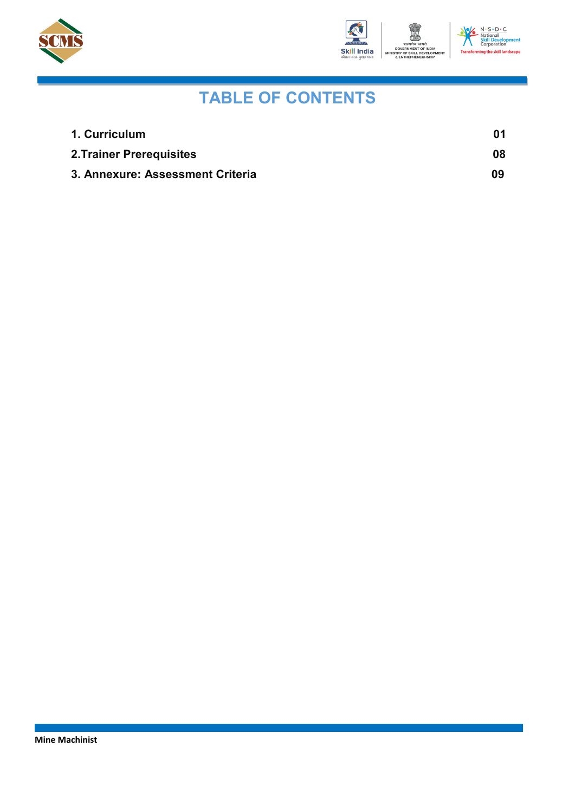



### **TABLE OF CONTENTS**

| 1. Curriculum                    |    |
|----------------------------------|----|
| <b>2. Trainer Prerequisites</b>  | 08 |
| 3. Annexure: Assessment Criteria | 09 |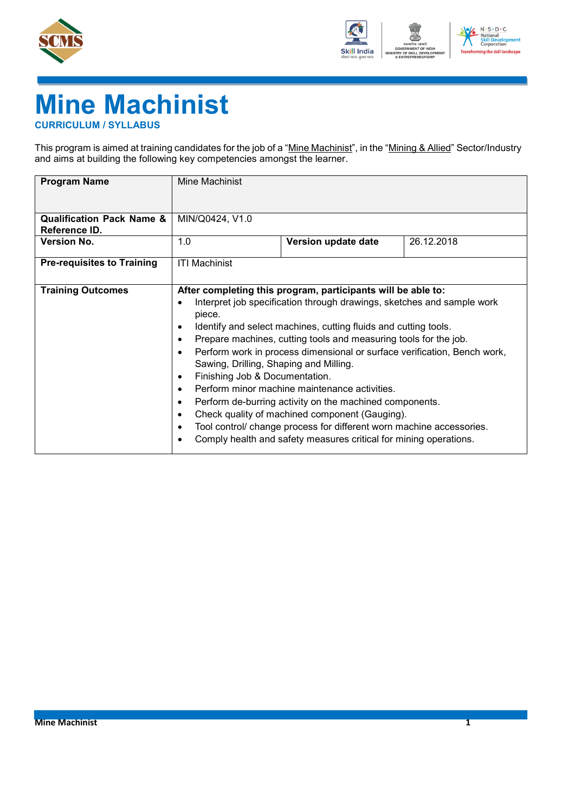



## **Mine Machinist**

<span id="page-3-0"></span>**CURRICULUM / SYLLABUS**

This program is aimed at training candidates for the job of a "Mine Machinist", in the "Mining & Allied" Sector/Industry and aims at building the following key competencies amongst the learner.

| <b>Program Name</b>                                   | Mine Machinist                                                                                                                                           |                                                                                                                                                                                                                                                                                                                                                                                                                                                                                                                                                                                                                                                                      |            |
|-------------------------------------------------------|----------------------------------------------------------------------------------------------------------------------------------------------------------|----------------------------------------------------------------------------------------------------------------------------------------------------------------------------------------------------------------------------------------------------------------------------------------------------------------------------------------------------------------------------------------------------------------------------------------------------------------------------------------------------------------------------------------------------------------------------------------------------------------------------------------------------------------------|------------|
| <b>Qualification Pack Name &amp;</b><br>Reference ID. | MIN/Q0424, V1.0                                                                                                                                          |                                                                                                                                                                                                                                                                                                                                                                                                                                                                                                                                                                                                                                                                      |            |
| <b>Version No.</b>                                    | 1.0                                                                                                                                                      | Version update date                                                                                                                                                                                                                                                                                                                                                                                                                                                                                                                                                                                                                                                  | 26.12.2018 |
| <b>Pre-requisites to Training</b>                     | <b>ITI Machinist</b>                                                                                                                                     |                                                                                                                                                                                                                                                                                                                                                                                                                                                                                                                                                                                                                                                                      |            |
| <b>Training Outcomes</b>                              | $\bullet$<br>piece.<br>$\bullet$<br>$\bullet$<br>Sawing, Drilling, Shaping and Milling.<br>Finishing Job & Documentation.<br>٠<br>$\bullet$<br>$\bullet$ | After completing this program, participants will be able to:<br>Interpret job specification through drawings, sketches and sample work<br>Identify and select machines, cutting fluids and cutting tools.<br>Prepare machines, cutting tools and measuring tools for the job.<br>Perform work in process dimensional or surface verification, Bench work,<br>Perform minor machine maintenance activities.<br>Perform de-burring activity on the machined components.<br>Check quality of machined component (Gauging).<br>Tool control/ change process for different worn machine accessories.<br>Comply health and safety measures critical for mining operations. |            |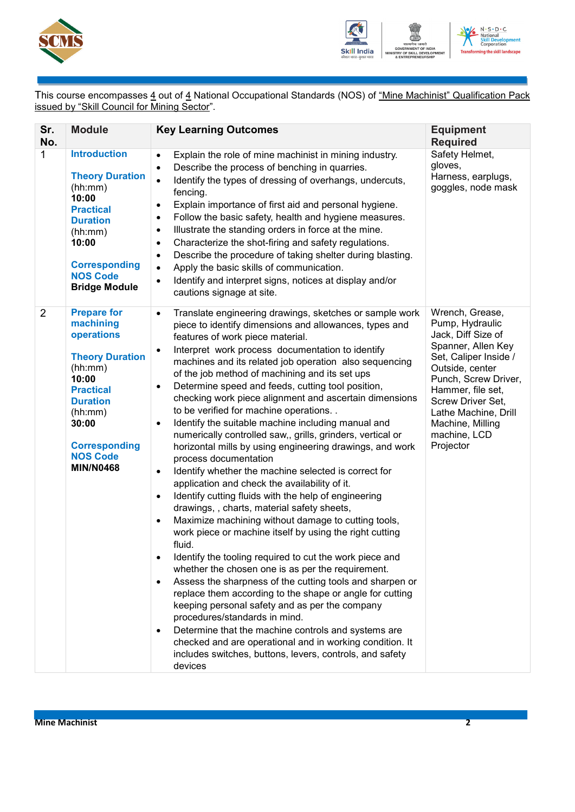



This course encompasses <u>4</u> out of <u>4</u> National Occupational Standards (NOS) of <u>"Mine Machinist" Qualification Pack</u> issued by "Skill Council for Mining Sector".

| Sr.<br>No.     | <b>Module</b>                                                                                                                                                                                                         | <b>Key Learning Outcomes</b>                                                                                                                                                                                                                                                                                                                                                                                                                                                                                                                                                                                                                                                                                                                                                                                                                                                                                                                                                                                                                                                                                                                                                                                                                                                                                                                                                                                                                                                                                                                                                                                                                                                             | <b>Equipment</b><br><b>Required</b>                                                                                                                                                                                                                                   |
|----------------|-----------------------------------------------------------------------------------------------------------------------------------------------------------------------------------------------------------------------|------------------------------------------------------------------------------------------------------------------------------------------------------------------------------------------------------------------------------------------------------------------------------------------------------------------------------------------------------------------------------------------------------------------------------------------------------------------------------------------------------------------------------------------------------------------------------------------------------------------------------------------------------------------------------------------------------------------------------------------------------------------------------------------------------------------------------------------------------------------------------------------------------------------------------------------------------------------------------------------------------------------------------------------------------------------------------------------------------------------------------------------------------------------------------------------------------------------------------------------------------------------------------------------------------------------------------------------------------------------------------------------------------------------------------------------------------------------------------------------------------------------------------------------------------------------------------------------------------------------------------------------------------------------------------------------|-----------------------------------------------------------------------------------------------------------------------------------------------------------------------------------------------------------------------------------------------------------------------|
| $\mathbf{1}$   | <b>Introduction</b><br><b>Theory Duration</b><br>(hh:mm)<br>10:00<br><b>Practical</b><br><b>Duration</b><br>(hh:mm)<br>10:00<br><b>Corresponding</b><br><b>NOS Code</b><br><b>Bridge Module</b>                       | Explain the role of mine machinist in mining industry.<br>$\bullet$<br>Describe the process of benching in quarries.<br>$\bullet$<br>Identify the types of dressing of overhangs, undercuts,<br>$\bullet$<br>fencing.<br>Explain importance of first aid and personal hygiene.<br>$\bullet$<br>Follow the basic safety, health and hygiene measures.<br>$\bullet$<br>Illustrate the standing orders in force at the mine.<br>$\bullet$<br>Characterize the shot-firing and safety regulations.<br>$\bullet$<br>Describe the procedure of taking shelter during blasting.<br>$\bullet$<br>Apply the basic skills of communication.<br>$\bullet$<br>Identify and interpret signs, notices at display and/or<br>$\bullet$<br>cautions signage at site.                                                                                                                                                                                                                                                                                                                                                                                                                                                                                                                                                                                                                                                                                                                                                                                                                                                                                                                                      | Safety Helmet,<br>gloves,<br>Harness, earplugs,<br>goggles, node mask                                                                                                                                                                                                 |
| $\overline{2}$ | <b>Prepare for</b><br>machining<br>operations<br><b>Theory Duration</b><br>(hh:mm)<br>10:00<br><b>Practical</b><br><b>Duration</b><br>(hh:mm)<br>30:00<br><b>Corresponding</b><br><b>NOS Code</b><br><b>MIN/N0468</b> | Translate engineering drawings, sketches or sample work<br>$\bullet$<br>piece to identify dimensions and allowances, types and<br>features of work piece material.<br>Interpret work process documentation to identify<br>$\bullet$<br>machines and its related job operation also sequencing<br>of the job method of machining and its set ups<br>Determine speed and feeds, cutting tool position,<br>$\bullet$<br>checking work piece alignment and ascertain dimensions<br>to be verified for machine operations<br>Identify the suitable machine including manual and<br>$\bullet$<br>numerically controlled saw,, grills, grinders, vertical or<br>horizontal mills by using engineering drawings, and work<br>process documentation<br>Identify whether the machine selected is correct for<br>$\bullet$<br>application and check the availability of it.<br>Identify cutting fluids with the help of engineering<br>$\bullet$<br>drawings,, charts, material safety sheets,<br>Maximize machining without damage to cutting tools,<br>$\bullet$<br>work piece or machine itself by using the right cutting<br>fluid.<br>Identify the tooling required to cut the work piece and<br>$\bullet$<br>whether the chosen one is as per the requirement.<br>Assess the sharpness of the cutting tools and sharpen or<br>$\bullet$<br>replace them according to the shape or angle for cutting<br>keeping personal safety and as per the company<br>procedures/standards in mind.<br>Determine that the machine controls and systems are<br>$\bullet$<br>checked and are operational and in working condition. It<br>includes switches, buttons, levers, controls, and safety<br>devices | Wrench, Grease,<br>Pump, Hydraulic<br>Jack, Diff Size of<br>Spanner, Allen Key<br>Set, Caliper Inside /<br>Outside, center<br>Punch, Screw Driver,<br>Hammer, file set,<br>Screw Driver Set,<br>Lathe Machine, Drill<br>Machine, Milling<br>machine, LCD<br>Projector |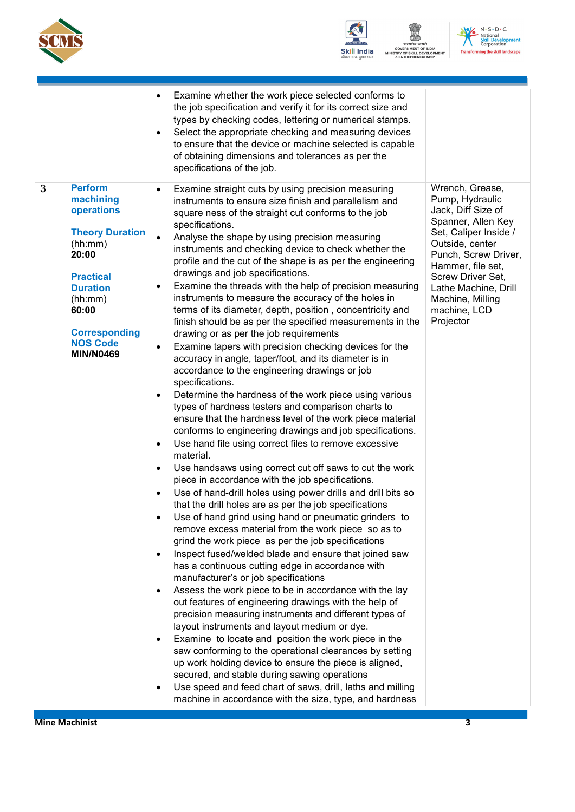



www.<br>एमेव जयते<br>MENT OF INDIA<br>KILL DEVELOPI<br>PRENEURSHIP  $N$ 



|                                                                                                                                                                                                                        | Examine whether the work piece selected conforms to<br>$\bullet$<br>the job specification and verify it for its correct size and<br>types by checking codes, lettering or numerical stamps.<br>Select the appropriate checking and measuring devices<br>٠<br>to ensure that the device or machine selected is capable<br>of obtaining dimensions and tolerances as per the<br>specifications of the job.                                                                                                                                                                                                                                                                                                                                                                                                                                                                                                                                                                                                                                                                                                                                                                                                                                                                                                                                                                                                                                                                                                                                                                                                                                                                                                                                                                                                                                                                                                                                                                                                                                                                                                                                                                                                                                                                                                                                                                                                                                                                                                                                                                                                                                                                                                        |
|------------------------------------------------------------------------------------------------------------------------------------------------------------------------------------------------------------------------|-----------------------------------------------------------------------------------------------------------------------------------------------------------------------------------------------------------------------------------------------------------------------------------------------------------------------------------------------------------------------------------------------------------------------------------------------------------------------------------------------------------------------------------------------------------------------------------------------------------------------------------------------------------------------------------------------------------------------------------------------------------------------------------------------------------------------------------------------------------------------------------------------------------------------------------------------------------------------------------------------------------------------------------------------------------------------------------------------------------------------------------------------------------------------------------------------------------------------------------------------------------------------------------------------------------------------------------------------------------------------------------------------------------------------------------------------------------------------------------------------------------------------------------------------------------------------------------------------------------------------------------------------------------------------------------------------------------------------------------------------------------------------------------------------------------------------------------------------------------------------------------------------------------------------------------------------------------------------------------------------------------------------------------------------------------------------------------------------------------------------------------------------------------------------------------------------------------------------------------------------------------------------------------------------------------------------------------------------------------------------------------------------------------------------------------------------------------------------------------------------------------------------------------------------------------------------------------------------------------------------------------------------------------------------------------------------------------------|
| 3<br><b>Perform</b><br>machining<br>operations<br><b>Theory Duration</b><br>(hh:mm)<br>20:00<br><b>Practical</b><br><b>Duration</b><br>(hh:mm)<br>60:00<br><b>Corresponding</b><br><b>NOS Code</b><br><b>MIN/N0469</b> | Wrench, Grease,<br>Examine straight cuts by using precision measuring<br>٠<br>Pump, Hydraulic<br>instruments to ensure size finish and parallelism and<br>Jack, Diff Size of<br>square ness of the straight cut conforms to the job<br>Spanner, Allen Key<br>specifications.<br>Set, Caliper Inside /<br>Analyse the shape by using precision measuring<br>$\bullet$<br>Outside, center<br>instruments and checking device to check whether the<br>Punch, Screw Driver,<br>profile and the cut of the shape is as per the engineering<br>Hammer, file set,<br>drawings and job specifications.<br>Screw Driver Set,<br>Examine the threads with the help of precision measuring<br>$\bullet$<br>Lathe Machine, Drill<br>instruments to measure the accuracy of the holes in<br>Machine, Milling<br>terms of its diameter, depth, position, concentricity and<br>machine, LCD<br>Projector<br>finish should be as per the specified measurements in the<br>drawing or as per the job requirements<br>Examine tapers with precision checking devices for the<br>٠<br>accuracy in angle, taper/foot, and its diameter is in<br>accordance to the engineering drawings or job<br>specifications.<br>Determine the hardness of the work piece using various<br>$\bullet$<br>types of hardness testers and comparison charts to<br>ensure that the hardness level of the work piece material<br>conforms to engineering drawings and job specifications.<br>Use hand file using correct files to remove excessive<br>$\bullet$<br>material.<br>Use handsaws using correct cut off saws to cut the work<br>$\bullet$<br>piece in accordance with the job specifications.<br>Use of hand-drill holes using power drills and drill bits so<br>$\bullet$<br>that the drill holes are as per the job specifications<br>Use of hand grind using hand or pneumatic grinders to<br>remove excess material from the work piece so as to<br>grind the work piece as per the job specifications<br>Inspect fused/welded blade and ensure that joined saw<br>$\bullet$<br>has a continuous cutting edge in accordance with<br>manufacturer's or job specifications<br>Assess the work piece to be in accordance with the lay<br>$\bullet$<br>out features of engineering drawings with the help of<br>precision measuring instruments and different types of<br>layout instruments and layout medium or dye.<br>Examine to locate and position the work piece in the<br>$\bullet$<br>saw conforming to the operational clearances by setting<br>up work holding device to ensure the piece is aligned,<br>secured, and stable during sawing operations<br>Use speed and feed chart of saws, drill, laths and milling<br>$\bullet$ |

**Mine Machinist** 3 **3**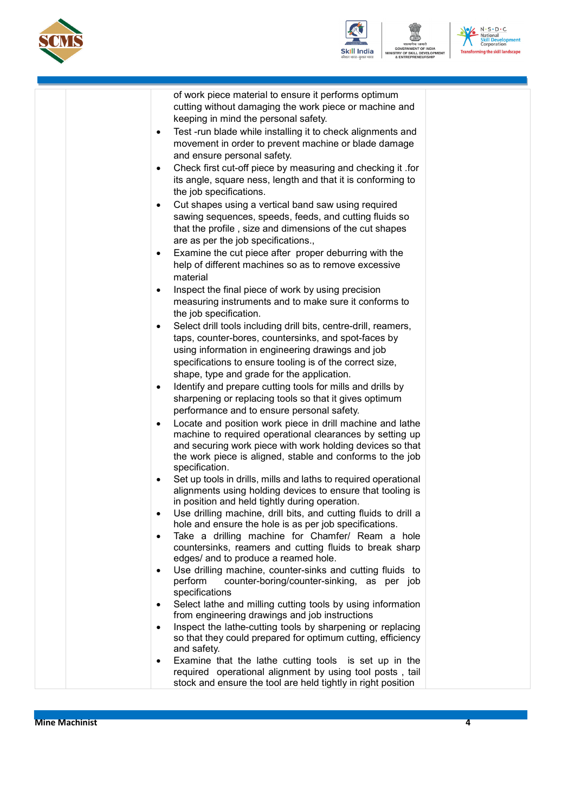



सत्यमेव जयते<br>GOVERNMENT OF INDIA<br>STRY OF SKILL DEVELOPI<br>& ENTREPRENEURSHIP **ENT**  N - S - D - C<br>
National<br>
Skill Development<br>
Transforming the skill landscape

|  | of work piece material to ensure it performs optimum                                                                       |
|--|----------------------------------------------------------------------------------------------------------------------------|
|  | cutting without damaging the work piece or machine and                                                                     |
|  | keeping in mind the personal safety.                                                                                       |
|  | Test -run blade while installing it to check alignments and<br>$\bullet$                                                   |
|  | movement in order to prevent machine or blade damage                                                                       |
|  | and ensure personal safety.                                                                                                |
|  | Check first cut-off piece by measuring and checking it .for<br>٠                                                           |
|  | its angle, square ness, length and that it is conforming to                                                                |
|  | the job specifications.                                                                                                    |
|  | Cut shapes using a vertical band saw using required<br>$\bullet$<br>sawing sequences, speeds, feeds, and cutting fluids so |
|  | that the profile, size and dimensions of the cut shapes                                                                    |
|  | are as per the job specifications.,                                                                                        |
|  | Examine the cut piece after proper deburring with the<br>$\bullet$                                                         |
|  | help of different machines so as to remove excessive                                                                       |
|  | material                                                                                                                   |
|  | Inspect the final piece of work by using precision<br>$\bullet$                                                            |
|  | measuring instruments and to make sure it conforms to                                                                      |
|  | the job specification.                                                                                                     |
|  | Select drill tools including drill bits, centre-drill, reamers,<br>٠                                                       |
|  | taps, counter-bores, countersinks, and spot-faces by                                                                       |
|  | using information in engineering drawings and job                                                                          |
|  | specifications to ensure tooling is of the correct size,                                                                   |
|  | shape, type and grade for the application.                                                                                 |
|  | Identify and prepare cutting tools for mills and drills by<br>٠                                                            |
|  | sharpening or replacing tools so that it gives optimum                                                                     |
|  | performance and to ensure personal safety.                                                                                 |
|  | Locate and position work piece in drill machine and lathe<br>٠                                                             |
|  | machine to required operational clearances by setting up<br>and securing work piece with work holding devices so that      |
|  | the work piece is aligned, stable and conforms to the job                                                                  |
|  | specification.                                                                                                             |
|  | Set up tools in drills, mills and laths to required operational<br>٠                                                       |
|  | alignments using holding devices to ensure that tooling is                                                                 |
|  | in position and held tightly during operation.                                                                             |
|  | Use drilling machine, drill bits, and cutting fluids to drill a                                                            |
|  | hole and ensure the hole is as per job specifications.                                                                     |
|  | Take a drilling machine for Chamfer/ Ream a hole<br>$\bullet$<br>countersinks, reamers and cutting fluids to break sharp   |
|  | edges/ and to produce a reamed hole.                                                                                       |
|  | Use drilling machine, counter-sinks and cutting fluids to<br>$\bullet$                                                     |
|  | perform<br>counter-boring/counter-sinking, as per job                                                                      |
|  | specifications                                                                                                             |
|  | Select lathe and milling cutting tools by using information<br>$\bullet$                                                   |
|  | from engineering drawings and job instructions                                                                             |
|  | Inspect the lathe-cutting tools by sharpening or replacing<br>$\bullet$                                                    |
|  | so that they could prepared for optimum cutting, efficiency<br>and safety.                                                 |
|  | Examine that the lathe cutting tools is set up in the<br>$\bullet$                                                         |
|  | required operational alignment by using tool posts, tail                                                                   |
|  | stock and ensure the tool are held tightly in right position                                                               |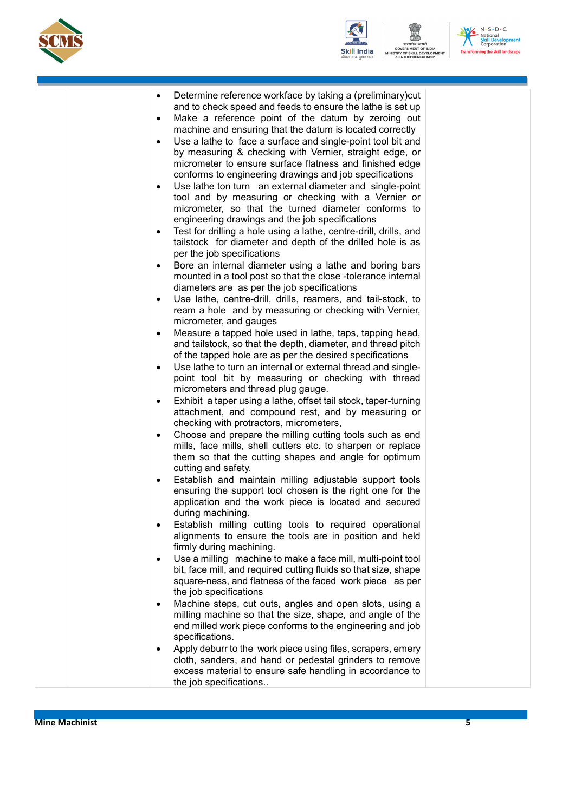





**ENT** 

|  | Determine reference workface by taking a (preliminary)cut<br>$\bullet$<br>and to check speed and feeds to ensure the lathe is set up<br>Make a reference point of the datum by zeroing out<br>$\bullet$<br>machine and ensuring that the datum is located correctly<br>Use a lathe to face a surface and single-point tool bit and<br>$\bullet$<br>by measuring & checking with Vernier, straight edge, or<br>micrometer to ensure surface flatness and finished edge<br>conforms to engineering drawings and job specifications<br>Use lathe ton turn an external diameter and single-point<br>$\bullet$<br>tool and by measuring or checking with a Vernier or<br>micrometer, so that the turned diameter conforms to<br>engineering drawings and the job specifications<br>Test for drilling a hole using a lathe, centre-drill, drills, and<br>٠<br>tailstock for diameter and depth of the drilled hole is as<br>per the job specifications<br>Bore an internal diameter using a lathe and boring bars<br>٠<br>mounted in a tool post so that the close -tolerance internal<br>diameters are as per the job specifications<br>Use lathe, centre-drill, drills, reamers, and tail-stock, to<br>$\bullet$<br>ream a hole and by measuring or checking with Vernier,<br>micrometer, and gauges<br>Measure a tapped hole used in lathe, taps, tapping head,<br>$\bullet$<br>and tailstock, so that the depth, diameter, and thread pitch |  |
|--|-------------------------------------------------------------------------------------------------------------------------------------------------------------------------------------------------------------------------------------------------------------------------------------------------------------------------------------------------------------------------------------------------------------------------------------------------------------------------------------------------------------------------------------------------------------------------------------------------------------------------------------------------------------------------------------------------------------------------------------------------------------------------------------------------------------------------------------------------------------------------------------------------------------------------------------------------------------------------------------------------------------------------------------------------------------------------------------------------------------------------------------------------------------------------------------------------------------------------------------------------------------------------------------------------------------------------------------------------------------------------------------------------------------------------------------------|--|
|  |                                                                                                                                                                                                                                                                                                                                                                                                                                                                                                                                                                                                                                                                                                                                                                                                                                                                                                                                                                                                                                                                                                                                                                                                                                                                                                                                                                                                                                           |  |
|  | of the tapped hole are as per the desired specifications<br>Use lathe to turn an internal or external thread and single-<br>$\bullet$                                                                                                                                                                                                                                                                                                                                                                                                                                                                                                                                                                                                                                                                                                                                                                                                                                                                                                                                                                                                                                                                                                                                                                                                                                                                                                     |  |
|  | point tool bit by measuring or checking with thread<br>micrometers and thread plug gauge.                                                                                                                                                                                                                                                                                                                                                                                                                                                                                                                                                                                                                                                                                                                                                                                                                                                                                                                                                                                                                                                                                                                                                                                                                                                                                                                                                 |  |
|  | Exhibit a taper using a lathe, offset tail stock, taper-turning<br>$\bullet$<br>attachment, and compound rest, and by measuring or<br>checking with protractors, micrometers,                                                                                                                                                                                                                                                                                                                                                                                                                                                                                                                                                                                                                                                                                                                                                                                                                                                                                                                                                                                                                                                                                                                                                                                                                                                             |  |
|  | Choose and prepare the milling cutting tools such as end<br>$\bullet$                                                                                                                                                                                                                                                                                                                                                                                                                                                                                                                                                                                                                                                                                                                                                                                                                                                                                                                                                                                                                                                                                                                                                                                                                                                                                                                                                                     |  |
|  | mills, face mills, shell cutters etc. to sharpen or replace                                                                                                                                                                                                                                                                                                                                                                                                                                                                                                                                                                                                                                                                                                                                                                                                                                                                                                                                                                                                                                                                                                                                                                                                                                                                                                                                                                               |  |
|  | them so that the cutting shapes and angle for optimum<br>cutting and safety.                                                                                                                                                                                                                                                                                                                                                                                                                                                                                                                                                                                                                                                                                                                                                                                                                                                                                                                                                                                                                                                                                                                                                                                                                                                                                                                                                              |  |
|  | Establish and maintain milling adjustable support tools<br>$\bullet$<br>ensuring the support tool chosen is the right one for the<br>application and the work piece is located and secured<br>during machining.                                                                                                                                                                                                                                                                                                                                                                                                                                                                                                                                                                                                                                                                                                                                                                                                                                                                                                                                                                                                                                                                                                                                                                                                                           |  |
|  | Establish milling cutting tools to required operational<br>٠<br>alignments to ensure the tools are in position and held<br>firmly during machining.                                                                                                                                                                                                                                                                                                                                                                                                                                                                                                                                                                                                                                                                                                                                                                                                                                                                                                                                                                                                                                                                                                                                                                                                                                                                                       |  |
|  | Use a milling machine to make a face mill, multi-point tool<br>$\bullet$<br>bit, face mill, and required cutting fluids so that size, shape<br>square-ness, and flatness of the faced work piece as per<br>the job specifications                                                                                                                                                                                                                                                                                                                                                                                                                                                                                                                                                                                                                                                                                                                                                                                                                                                                                                                                                                                                                                                                                                                                                                                                         |  |
|  | Machine steps, cut outs, angles and open slots, using a<br>$\bullet$<br>milling machine so that the size, shape, and angle of the<br>end milled work piece conforms to the engineering and job<br>specifications.                                                                                                                                                                                                                                                                                                                                                                                                                                                                                                                                                                                                                                                                                                                                                                                                                                                                                                                                                                                                                                                                                                                                                                                                                         |  |
|  | Apply deburr to the work piece using files, scrapers, emery<br>$\bullet$<br>cloth, sanders, and hand or pedestal grinders to remove<br>excess material to ensure safe handling in accordance to<br>the job specifications                                                                                                                                                                                                                                                                                                                                                                                                                                                                                                                                                                                                                                                                                                                                                                                                                                                                                                                                                                                                                                                                                                                                                                                                                 |  |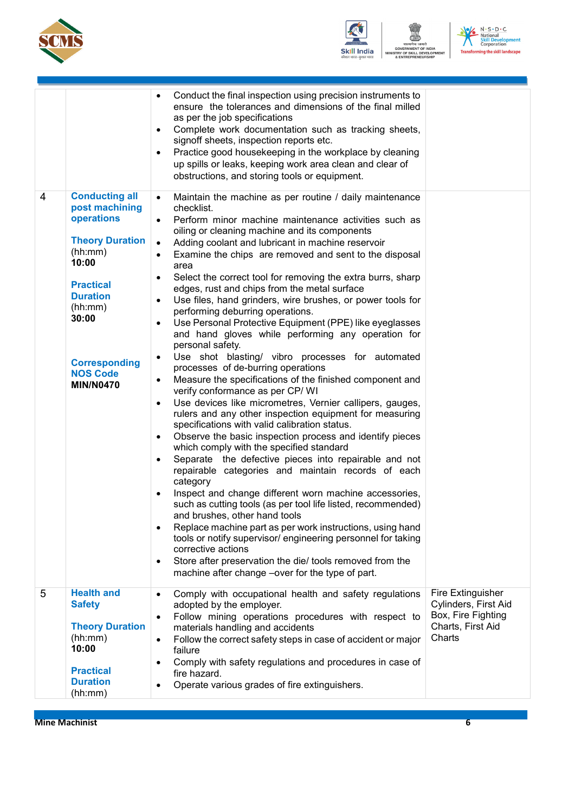



(<u>- 1988)</u><br>यमेव जयते<br>IMENT OF INDIA<br>SKILL DEVELOP<br>EPRENEURSHIP



nent

|   |                                                                                                                                                                                                                               | Conduct the final inspection using precision instruments to<br>$\bullet$<br>ensure the tolerances and dimensions of the final milled                                                                                                                                                                                                                                                                                                                                                                                                                                                                                                                                                                                                                                                                                                                                                                                                                                                                                                                                                                                                                                                                                                                                                                                                                                                                                                                                                                                                                                                                                                                                                                                                                                             |                                                                                                |
|---|-------------------------------------------------------------------------------------------------------------------------------------------------------------------------------------------------------------------------------|----------------------------------------------------------------------------------------------------------------------------------------------------------------------------------------------------------------------------------------------------------------------------------------------------------------------------------------------------------------------------------------------------------------------------------------------------------------------------------------------------------------------------------------------------------------------------------------------------------------------------------------------------------------------------------------------------------------------------------------------------------------------------------------------------------------------------------------------------------------------------------------------------------------------------------------------------------------------------------------------------------------------------------------------------------------------------------------------------------------------------------------------------------------------------------------------------------------------------------------------------------------------------------------------------------------------------------------------------------------------------------------------------------------------------------------------------------------------------------------------------------------------------------------------------------------------------------------------------------------------------------------------------------------------------------------------------------------------------------------------------------------------------------|------------------------------------------------------------------------------------------------|
|   |                                                                                                                                                                                                                               | as per the job specifications<br>Complete work documentation such as tracking sheets,<br>٠<br>signoff sheets, inspection reports etc.<br>Practice good housekeeping in the workplace by cleaning<br>$\bullet$<br>up spills or leaks, keeping work area clean and clear of<br>obstructions, and storing tools or equipment.                                                                                                                                                                                                                                                                                                                                                                                                                                                                                                                                                                                                                                                                                                                                                                                                                                                                                                                                                                                                                                                                                                                                                                                                                                                                                                                                                                                                                                                       |                                                                                                |
| 4 | <b>Conducting all</b><br>post machining<br>operations<br><b>Theory Duration</b><br>(hh:mm)<br>10:00<br><b>Practical</b><br><b>Duration</b><br>(hh:mm)<br>30:00<br><b>Corresponding</b><br><b>NOS Code</b><br><b>MIN/N0470</b> | $\bullet$<br>Maintain the machine as per routine / daily maintenance<br>checklist.<br>Perform minor machine maintenance activities such as<br>oiling or cleaning machine and its components<br>Adding coolant and lubricant in machine reservoir<br>Examine the chips are removed and sent to the disposal<br>$\bullet$<br>area<br>Select the correct tool for removing the extra burrs, sharp<br>edges, rust and chips from the metal surface<br>Use files, hand grinders, wire brushes, or power tools for<br>performing deburring operations.<br>Use Personal Protective Equipment (PPE) like eyeglasses<br>and hand gloves while performing any operation for<br>personal safety.<br>Use shot blasting/ vibro processes for automated<br>$\bullet$<br>processes of de-burring operations<br>Measure the specifications of the finished component and<br>verify conformance as per CP/WI<br>Use devices like micrometres, Vernier callipers, gauges,<br>$\bullet$<br>rulers and any other inspection equipment for measuring<br>specifications with valid calibration status.<br>Observe the basic inspection process and identify pieces<br>٠<br>which comply with the specified standard<br>Separate the defective pieces into repairable and not<br>repairable categories and maintain records of each<br>category<br>Inspect and change different worn machine accessories,<br>such as cutting tools (as per tool life listed, recommended)<br>and brushes, other hand tools<br>Replace machine part as per work instructions, using hand<br>$\bullet$<br>tools or notify supervisor/ engineering personnel for taking<br>corrective actions<br>Store after preservation the die/ tools removed from the<br>$\bullet$<br>machine after change –over for the type of part. |                                                                                                |
| 5 | <b>Health and</b><br><b>Safety</b><br><b>Theory Duration</b>                                                                                                                                                                  | Comply with occupational health and safety regulations<br>adopted by the employer.<br>Follow mining operations procedures with respect to<br>$\bullet$<br>materials handling and accidents                                                                                                                                                                                                                                                                                                                                                                                                                                                                                                                                                                                                                                                                                                                                                                                                                                                                                                                                                                                                                                                                                                                                                                                                                                                                                                                                                                                                                                                                                                                                                                                       | Fire Extinguisher<br>Cylinders, First Aid<br>Box, Fire Fighting<br>Charts, First Aid<br>Charts |
|   | (hh:mm)<br>10:00<br><b>Practical</b><br><b>Duration</b><br>(hh:mm)                                                                                                                                                            | Follow the correct safety steps in case of accident or major<br>$\bullet$<br>failure<br>Comply with safety regulations and procedures in case of<br>$\bullet$<br>fire hazard.<br>Operate various grades of fire extinguishers.                                                                                                                                                                                                                                                                                                                                                                                                                                                                                                                                                                                                                                                                                                                                                                                                                                                                                                                                                                                                                                                                                                                                                                                                                                                                                                                                                                                                                                                                                                                                                   |                                                                                                |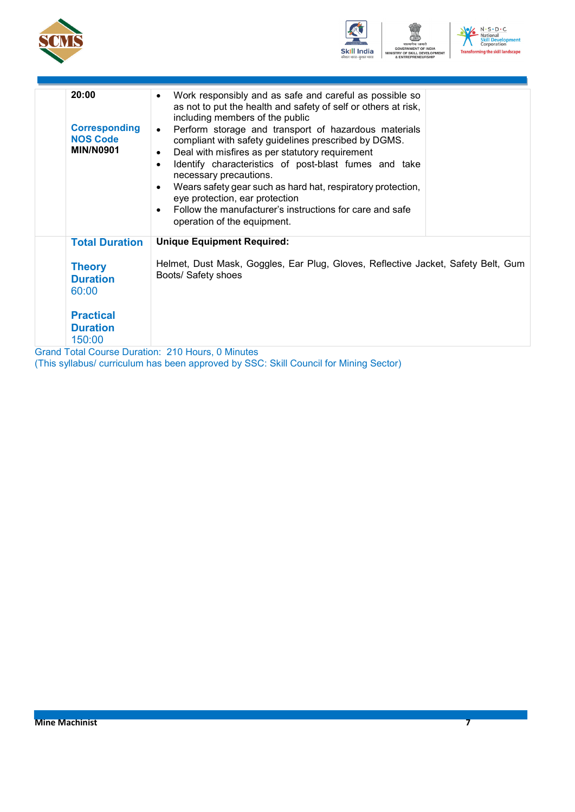





| 20:00<br><b>Corresponding</b><br><b>NOS Code</b><br><b>MIN/N0901</b> | Work responsibly and as safe and careful as possible so<br>$\bullet$<br>as not to put the health and safety of self or others at risk,<br>including members of the public<br>Perform storage and transport of hazardous materials<br>$\bullet$<br>compliant with safety guidelines prescribed by DGMS.<br>Deal with misfires as per statutory requirement<br>$\bullet$<br>Identify characteristics of post-blast fumes and take<br>$\bullet$<br>necessary precautions.<br>Wears safety gear such as hard hat, respiratory protection,<br>$\bullet$<br>eye protection, ear protection<br>Follow the manufacturer's instructions for care and safe<br>$\bullet$<br>operation of the equipment. |
|----------------------------------------------------------------------|----------------------------------------------------------------------------------------------------------------------------------------------------------------------------------------------------------------------------------------------------------------------------------------------------------------------------------------------------------------------------------------------------------------------------------------------------------------------------------------------------------------------------------------------------------------------------------------------------------------------------------------------------------------------------------------------|
| <b>Total Duration</b>                                                | <b>Unique Equipment Required:</b>                                                                                                                                                                                                                                                                                                                                                                                                                                                                                                                                                                                                                                                            |
| <b>Theory</b><br><b>Duration</b><br>60:00                            | Helmet, Dust Mask, Goggles, Ear Plug, Gloves, Reflective Jacket, Safety Belt, Gum<br>Boots/ Safety shoes                                                                                                                                                                                                                                                                                                                                                                                                                                                                                                                                                                                     |
| <b>Practical</b>                                                     |                                                                                                                                                                                                                                                                                                                                                                                                                                                                                                                                                                                                                                                                                              |
| <b>Duration</b>                                                      |                                                                                                                                                                                                                                                                                                                                                                                                                                                                                                                                                                                                                                                                                              |
| 150:00                                                               |                                                                                                                                                                                                                                                                                                                                                                                                                                                                                                                                                                                                                                                                                              |
|                                                                      | <b>Grand Total Course Duration: 210 Hours, 0 Minutes</b>                                                                                                                                                                                                                                                                                                                                                                                                                                                                                                                                                                                                                                     |

(This syllabus/ curriculum has been approved by SSC: Skill Council for Mining Sector)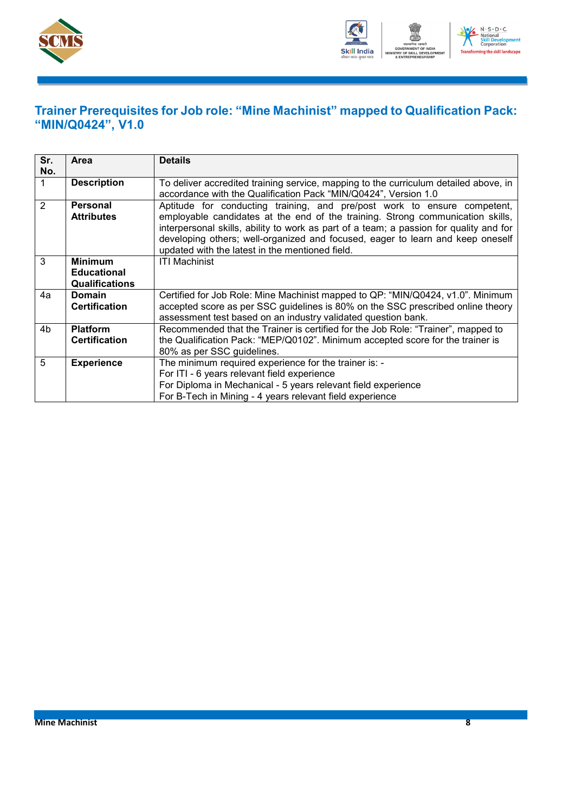



### <span id="page-10-0"></span>**Trainer Prerequisites for Job role: "Mine Machinist" mapped to Qualification Pack: "MIN/Q0424", V1.0**

| Sr.<br>No.     | Area                                                          | <b>Details</b>                                                                                                                                                                                                                                                                                                                                                                            |  |  |
|----------------|---------------------------------------------------------------|-------------------------------------------------------------------------------------------------------------------------------------------------------------------------------------------------------------------------------------------------------------------------------------------------------------------------------------------------------------------------------------------|--|--|
|                | <b>Description</b>                                            | To deliver accredited training service, mapping to the curriculum detailed above, in<br>accordance with the Qualification Pack "MIN/Q0424", Version 1.0                                                                                                                                                                                                                                   |  |  |
| $\overline{2}$ | <b>Personal</b><br><b>Attributes</b>                          | Aptitude for conducting training, and pre/post work to ensure competent,<br>employable candidates at the end of the training. Strong communication skills,<br>interpersonal skills, ability to work as part of a team; a passion for quality and for<br>developing others; well-organized and focused, eager to learn and keep oneself<br>updated with the latest in the mentioned field. |  |  |
| 3              | <b>Minimum</b><br><b>Educational</b><br><b>Qualifications</b> | <b>ITI Machinist</b>                                                                                                                                                                                                                                                                                                                                                                      |  |  |
| 4a             | <b>Domain</b><br><b>Certification</b>                         | Certified for Job Role: Mine Machinist mapped to QP: "MIN/Q0424, v1.0". Minimum<br>accepted score as per SSC guidelines is 80% on the SSC prescribed online theory<br>assessment test based on an industry validated question bank.                                                                                                                                                       |  |  |
| 4 <sub>b</sub> | <b>Platform</b><br><b>Certification</b>                       | Recommended that the Trainer is certified for the Job Role: "Trainer", mapped to<br>the Qualification Pack: "MEP/Q0102". Minimum accepted score for the trainer is<br>80% as per SSC guidelines.                                                                                                                                                                                          |  |  |
| 5              | <b>Experience</b>                                             | The minimum required experience for the trainer is: -<br>For ITI - 6 years relevant field experience<br>For Diploma in Mechanical - 5 years relevant field experience<br>For B-Tech in Mining - 4 years relevant field experience                                                                                                                                                         |  |  |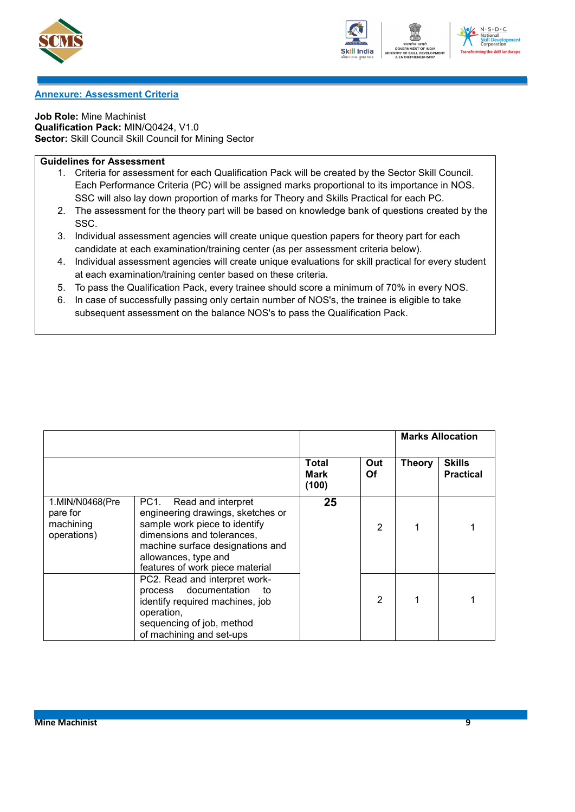





#### <span id="page-11-0"></span>**Annexure: Assessment Criteria**

**Job Role:** Mine Machinist **Qualification Pack:** MIN/Q0424, V1.0 **Sector:** Skill Council Skill Council for Mining Sector

### **Guidelines for Assessment**

- 1. Criteria for assessment for each Qualification Pack will be created by the Sector Skill Council. Each Performance Criteria (PC) will be assigned marks proportional to its importance in NOS. SSC will also lay down proportion of marks for Theory and Skills Practical for each PC.
- 2. The assessment for the theory part will be based on knowledge bank of questions created by the SSC.
- 3. Individual assessment agencies will create unique question papers for theory part for each candidate at each examination/training center (as per assessment criteria below).
- 4. Individual assessment agencies will create unique evaluations for skill practical for every student at each examination/training center based on these criteria.
- 5. To pass the Qualification Pack, every trainee should score a minimum of 70% in every NOS.
- 6. In case of successfully passing only certain number of NOS's, the trainee is eligible to take subsequent assessment on the balance NOS's to pass the Qualification Pack.

|                                                         |                                                                                                                                                                                                                               |                               |                  | <b>Marks Allocation</b> |                                   |
|---------------------------------------------------------|-------------------------------------------------------------------------------------------------------------------------------------------------------------------------------------------------------------------------------|-------------------------------|------------------|-------------------------|-----------------------------------|
|                                                         |                                                                                                                                                                                                                               | Total<br><b>Mark</b><br>(100) | Out<br><b>Of</b> | <b>Theory</b>           | <b>Skills</b><br><b>Practical</b> |
| 1.MIN/N0468(Pre<br>pare for<br>machining<br>operations) | PC1.<br>Read and interpret<br>engineering drawings, sketches or<br>sample work piece to identify<br>dimensions and tolerances,<br>machine surface designations and<br>allowances, type and<br>features of work piece material | 25                            | $\mathfrak{p}$   |                         |                                   |
|                                                         | PC2. Read and interpret work-<br>process documentation<br>to<br>identify required machines, job<br>operation,<br>sequencing of job, method<br>of machining and set-ups                                                        |                               | $\overline{2}$   |                         |                                   |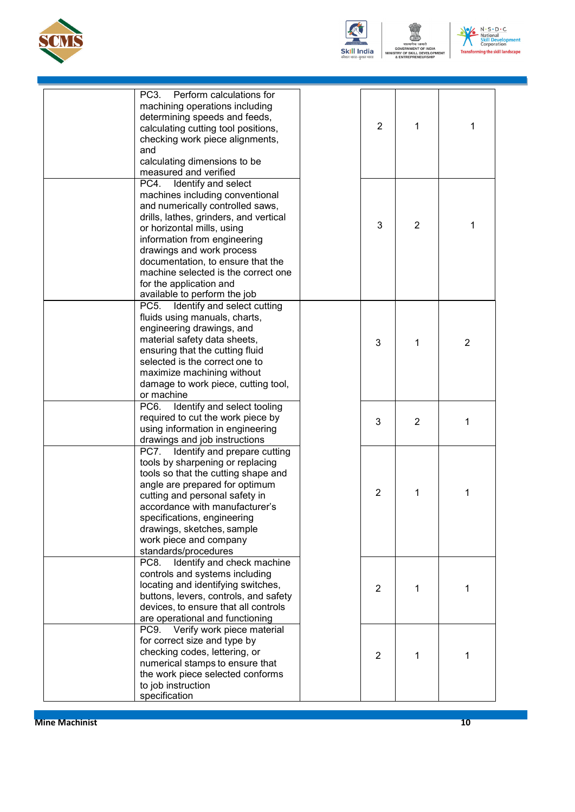



-<br>स्मेव जयते<br>MENT OF INDIA<br>KILL DEVELOPI<br>PRENEURSHIP .<br>NT



| PC <sub>3</sub> .<br>Perform calculations for<br>machining operations including<br>determining speeds and feeds, | $\overline{2}$ |                |                |
|------------------------------------------------------------------------------------------------------------------|----------------|----------------|----------------|
| calculating cutting tool positions,<br>checking work piece alignments,<br>and                                    |                | 1              | 1              |
| calculating dimensions to be<br>measured and verified                                                            |                |                |                |
| Identify and select<br>PC4.                                                                                      |                |                |                |
| machines including conventional                                                                                  |                |                |                |
| and numerically controlled saws,                                                                                 |                |                |                |
| drills, lathes, grinders, and vertical<br>or horizontal mills, using                                             | 3              | $\overline{2}$ | 1              |
| information from engineering                                                                                     |                |                |                |
| drawings and work process                                                                                        |                |                |                |
| documentation, to ensure that the                                                                                |                |                |                |
| machine selected is the correct one                                                                              |                |                |                |
| for the application and                                                                                          |                |                |                |
| available to perform the job                                                                                     |                |                |                |
| PC <sub>5</sub> .<br>Identify and select cutting                                                                 |                |                |                |
| fluids using manuals, charts,                                                                                    |                |                |                |
| engineering drawings, and                                                                                        |                |                |                |
| material safety data sheets,                                                                                     | 3              | 1              | $\overline{2}$ |
| ensuring that the cutting fluid                                                                                  |                |                |                |
| selected is the correct one to                                                                                   |                |                |                |
| maximize machining without                                                                                       |                |                |                |
| damage to work piece, cutting tool,<br>or machine                                                                |                |                |                |
| Identify and select tooling<br>PC <sub>6</sub> .                                                                 |                |                |                |
| required to cut the work piece by                                                                                |                |                |                |
| using information in engineering                                                                                 | 3              | 2              | 1              |
| drawings and job instructions                                                                                    |                |                |                |
| Identify and prepare cutting<br>PC7.                                                                             |                |                |                |
| tools by sharpening or replacing                                                                                 |                |                |                |
| tools so that the cutting shape and                                                                              |                |                |                |
| angle are prepared for optimum                                                                                   | $\overline{2}$ |                |                |
| cutting and personal safety in                                                                                   |                | 1              | 1              |
| accordance with manufacturer's                                                                                   |                |                |                |
| specifications, engineering                                                                                      |                |                |                |
| drawings, sketches, sample<br>work piece and company                                                             |                |                |                |
| standards/procedures                                                                                             |                |                |                |
| Identify and check machine<br>PC8.                                                                               |                |                |                |
| controls and systems including                                                                                   |                |                |                |
| locating and identifying switches,                                                                               | $\overline{2}$ | 1              | 1              |
| buttons, levers, controls, and safety                                                                            |                |                |                |
| devices, to ensure that all controls                                                                             |                |                |                |
| are operational and functioning                                                                                  |                |                |                |
| Verify work piece material<br>PC <sub>9</sub>                                                                    |                |                |                |
| for correct size and type by                                                                                     |                |                |                |
| checking codes, lettering, or                                                                                    | $\overline{c}$ | 1              | 1              |
| numerical stamps to ensure that                                                                                  |                |                |                |
| the work piece selected conforms                                                                                 |                |                |                |
| to job instruction<br>specification                                                                              |                |                |                |
|                                                                                                                  |                |                |                |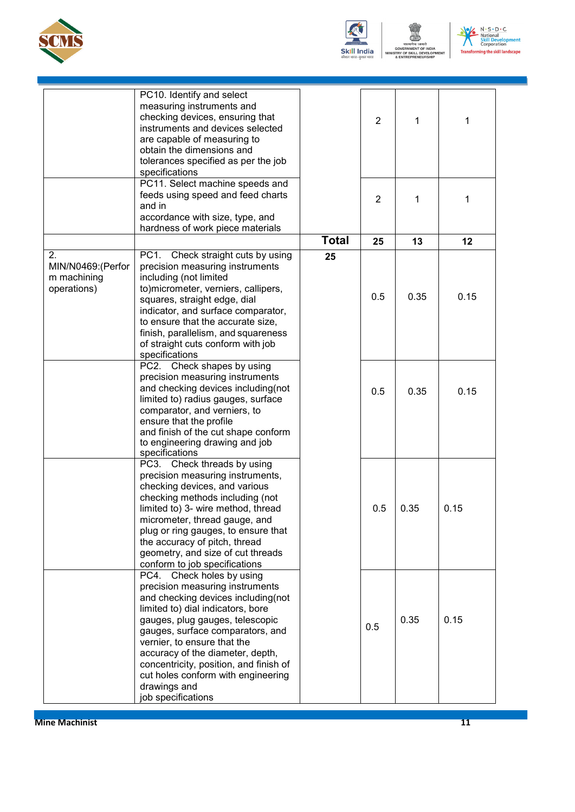



ष्ट्याला<br>MENT OF INDIA<br>KILL DEVELOP<br>PRENEURSHIP .<br>NT



|                                                        | PC10. Identify and select<br>measuring instruments and<br>checking devices, ensuring that<br>instruments and devices selected<br>are capable of measuring to<br>obtain the dimensions and<br>tolerances specified as per the job<br>specifications                                                                                                                                                         |              | 2              | 1    | 1    |
|--------------------------------------------------------|------------------------------------------------------------------------------------------------------------------------------------------------------------------------------------------------------------------------------------------------------------------------------------------------------------------------------------------------------------------------------------------------------------|--------------|----------------|------|------|
|                                                        | PC11. Select machine speeds and<br>feeds using speed and feed charts<br>and in<br>accordance with size, type, and<br>hardness of work piece materials                                                                                                                                                                                                                                                      |              | $\overline{2}$ | 1    | 1    |
|                                                        |                                                                                                                                                                                                                                                                                                                                                                                                            | <b>Total</b> | 25             | 13   | 12   |
| 2.<br>MIN/N0469: (Perfor<br>m machining<br>operations) | Check straight cuts by using<br>PC1.<br>precision measuring instruments<br>including (not limited<br>to)micrometer, verniers, callipers,<br>squares, straight edge, dial<br>indicator, and surface comparator,<br>to ensure that the accurate size,<br>finish, parallelism, and squareness<br>of straight cuts conform with job<br>specifications                                                          | 25           | 0.5            | 0.35 | 0.15 |
|                                                        | Check shapes by using<br>PC2.<br>precision measuring instruments<br>and checking devices including(not<br>limited to) radius gauges, surface<br>comparator, and verniers, to<br>ensure that the profile<br>and finish of the cut shape conform<br>to engineering drawing and job<br>specifications                                                                                                         |              | 0.5            | 0.35 | 0.15 |
|                                                        | PC3. Check threads by using<br>precision measuring instruments,<br>checking devices, and various<br>checking methods including (not<br>limited to) 3- wire method, thread<br>micrometer, thread gauge, and<br>plug or ring gauges, to ensure that<br>the accuracy of pitch, thread<br>geometry, and size of cut threads<br>conform to job specifications                                                   |              | 0.5            | 0.35 | 0.15 |
|                                                        | Check holes by using<br>PC4.<br>precision measuring instruments<br>and checking devices including(not<br>limited to) dial indicators, bore<br>gauges, plug gauges, telescopic<br>gauges, surface comparators, and<br>vernier, to ensure that the<br>accuracy of the diameter, depth,<br>concentricity, position, and finish of<br>cut holes conform with engineering<br>drawings and<br>job specifications |              | 0.5            | 0.35 | 0.15 |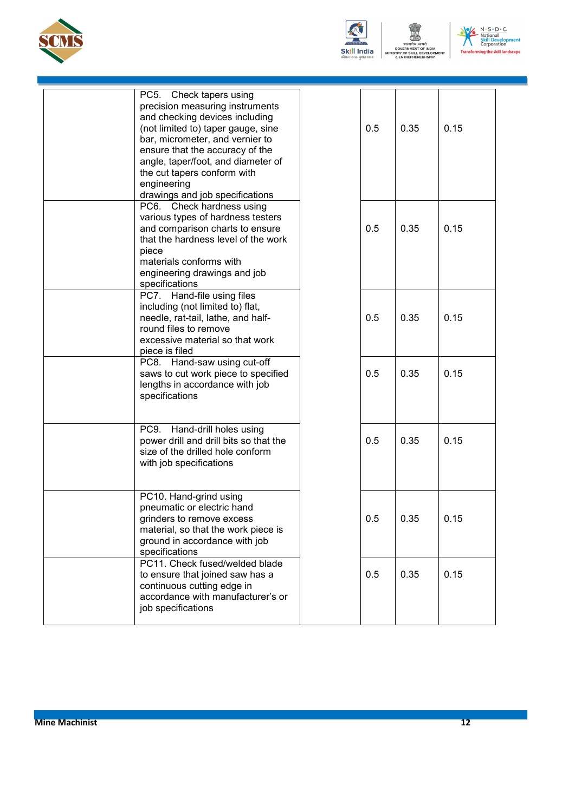



——<br>मेव जयते<br>IENT OF INDIA<br>KILL DEVELOP<br>PRENEURSHIP **NT** 



| Check tapers using<br>PC5.<br>precision measuring instruments<br>and checking devices including<br>(not limited to) taper gauge, sine<br>bar, micrometer, and vernier to<br>ensure that the accuracy of the<br>angle, taper/foot, and diameter of<br>the cut tapers conform with<br>engineering<br>drawings and job specifications | 0.5 | 0.35 | 0.15 |
|------------------------------------------------------------------------------------------------------------------------------------------------------------------------------------------------------------------------------------------------------------------------------------------------------------------------------------|-----|------|------|
| PC6. Check hardness using<br>various types of hardness testers<br>and comparison charts to ensure<br>that the hardness level of the work<br>piece<br>materials conforms with<br>engineering drawings and job<br>specifications                                                                                                     | 0.5 | 0.35 | 0.15 |
| PC7. Hand-file using files<br>including (not limited to) flat,<br>needle, rat-tail, lathe, and half-<br>round files to remove<br>excessive material so that work<br>piece is filed                                                                                                                                                 | 0.5 | 0.35 | 0.15 |
| PC8. Hand-saw using cut-off<br>saws to cut work piece to specified<br>lengths in accordance with job<br>specifications                                                                                                                                                                                                             | 0.5 | 0.35 | 0.15 |
| PC9.<br>Hand-drill holes using<br>power drill and drill bits so that the<br>size of the drilled hole conform<br>with job specifications                                                                                                                                                                                            | 0.5 | 0.35 | 0.15 |
| PC10. Hand-grind using<br>pneumatic or electric hand<br>grinders to remove excess<br>material, so that the work piece is<br>ground in accordance with job<br>specifications                                                                                                                                                        | 0.5 | 0.35 | 0.15 |
| PC11. Check fused/welded blade<br>to ensure that joined saw has a<br>continuous cutting edge in<br>accordance with manufacturer's or<br>job specifications                                                                                                                                                                         | 0.5 | 0.35 | 0.15 |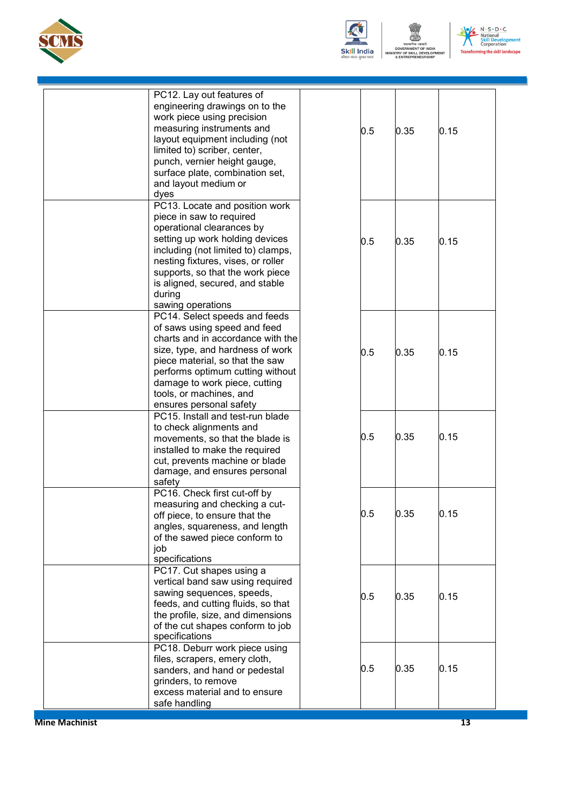



ख्खाद्वा<br>प्रमेव जयते<br>MENT OF INDIA<br>SKILL DEVELOPI<br>:PRENEURSHIP .<br>NT



| PC12. Lay out features of<br>engineering drawings on to the  |     |      |      |
|--------------------------------------------------------------|-----|------|------|
| work piece using precision<br>measuring instruments and      |     |      |      |
| layout equipment including (not                              | 0.5 | 0.35 | 0.15 |
| limited to) scriber, center,                                 |     |      |      |
| punch, vernier height gauge,                                 |     |      |      |
| surface plate, combination set,                              |     |      |      |
| and layout medium or                                         |     |      |      |
| dyes<br>PC13. Locate and position work                       |     |      |      |
| piece in saw to required                                     |     |      |      |
| operational clearances by                                    |     |      |      |
| setting up work holding devices                              | 0.5 | 0.35 | 0.15 |
| including (not limited to) clamps,                           |     |      |      |
| nesting fixtures, vises, or roller                           |     |      |      |
| supports, so that the work piece                             |     |      |      |
| is aligned, secured, and stable                              |     |      |      |
| during<br>sawing operations                                  |     |      |      |
| PC14. Select speeds and feeds                                |     |      |      |
| of saws using speed and feed                                 |     |      |      |
| charts and in accordance with the                            |     |      |      |
| size, type, and hardness of work                             | 0.5 | 0.35 | 0.15 |
| piece material, so that the saw                              |     |      |      |
| performs optimum cutting without                             |     |      |      |
| damage to work piece, cutting                                |     |      |      |
| tools, or machines, and<br>ensures personal safety           |     |      |      |
| PC15. Install and test-run blade                             |     |      |      |
| to check alignments and                                      |     |      |      |
| movements, so that the blade is                              | 0.5 | 0.35 | 0.15 |
| installed to make the required                               |     |      |      |
| cut, prevents machine or blade                               |     |      |      |
| damage, and ensures personal                                 |     |      |      |
| safety<br>PC16. Check first cut-off by                       |     |      |      |
| measuring and checking a cut-                                |     |      |      |
| off piece, to ensure that the                                | 0.5 | 0.35 | 0.15 |
| angles, squareness, and length                               |     |      |      |
| of the sawed piece conform to                                |     |      |      |
| job                                                          |     |      |      |
| specifications                                               |     |      |      |
| PC17. Cut shapes using a<br>vertical band saw using required |     |      |      |
| sawing sequences, speeds,                                    |     |      |      |
| feeds, and cutting fluids, so that                           | 0.5 | 0.35 | 0.15 |
| the profile, size, and dimensions                            |     |      |      |
| of the cut shapes conform to job                             |     |      |      |
| specifications                                               |     |      |      |
| PC18. Deburr work piece using                                |     |      |      |
| files, scrapers, emery cloth,                                | 0.5 | 0.35 | 0.15 |
| sanders, and hand or pedestal                                |     |      |      |
| grinders, to remove<br>excess material and to ensure         |     |      |      |
| safe handling                                                |     |      |      |
|                                                              |     |      |      |

**Mine Machinist** 13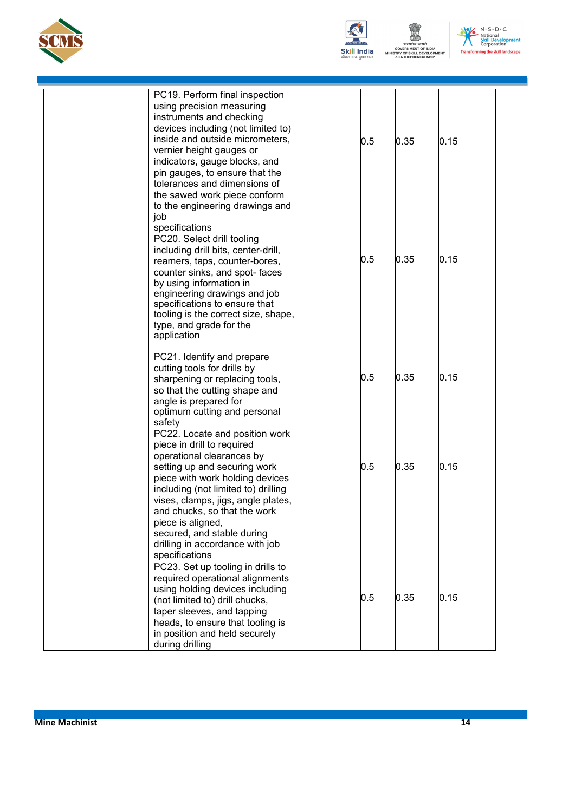

![](_page_16_Picture_1.jpeg)

ष्ट्याला<br>स्पेय जयते<br>MENT OF INDIA<br>:KILL DEVELOPI<br>PRENEURSHIP  $N$ 

![](_page_16_Picture_3.jpeg)

| PC19. Perform final inspection<br>using precision measuring<br>instruments and checking<br>devices including (not limited to)<br>inside and outside micrometers,<br>vernier height gauges or<br>indicators, gauge blocks, and<br>pin gauges, to ensure that the<br>tolerances and dimensions of<br>the sawed work piece conform<br>to the engineering drawings and<br>job<br>specifications | 0.5 | 0.35 | 0.15 |
|---------------------------------------------------------------------------------------------------------------------------------------------------------------------------------------------------------------------------------------------------------------------------------------------------------------------------------------------------------------------------------------------|-----|------|------|
| PC20. Select drill tooling<br>including drill bits, center-drill,<br>reamers, taps, counter-bores,<br>counter sinks, and spot- faces<br>by using information in<br>engineering drawings and job<br>specifications to ensure that<br>tooling is the correct size, shape,<br>type, and grade for the<br>application                                                                           | 0.5 | 0.35 | 0.15 |
| PC21. Identify and prepare<br>cutting tools for drills by<br>sharpening or replacing tools,<br>so that the cutting shape and<br>angle is prepared for<br>optimum cutting and personal<br>safety                                                                                                                                                                                             | 0.5 | 0.35 | 0.15 |
| PC22. Locate and position work<br>piece in drill to required<br>operational clearances by<br>setting up and securing work<br>piece with work holding devices<br>including (not limited to) drilling<br>vises, clamps, jigs, angle plates,<br>and chucks, so that the work<br>piece is aligned,<br>secured, and stable during<br>drilling in accordance with job<br>specifications           | 0.5 | 0.35 | 0.15 |
| PC23. Set up tooling in drills to<br>required operational alignments<br>using holding devices including<br>(not limited to) drill chucks,<br>taper sleeves, and tapping<br>heads, to ensure that tooling is<br>in position and held securely<br>during drilling                                                                                                                             | 0.5 | 0.35 | 0.15 |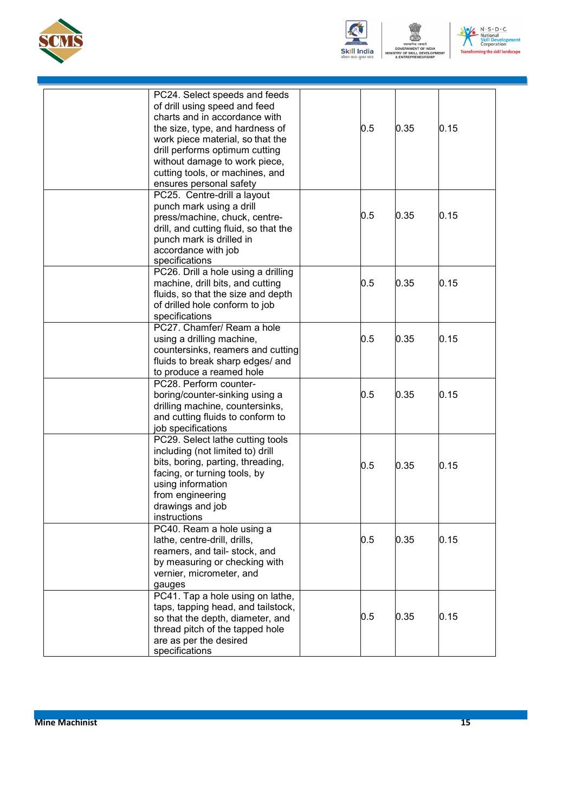![](_page_17_Picture_0.jpeg)

![](_page_17_Picture_1.jpeg)

![](_page_17_Picture_2.jpeg)

![](_page_17_Picture_3.jpeg)

| PC24. Select speeds and feeds<br>of drill using speed and feed<br>charts and in accordance with<br>the size, type, and hardness of<br>work piece material, so that the<br>drill performs optimum cutting<br>without damage to work piece,<br>cutting tools, or machines, and<br>ensures personal safety | 0.5 | 0.35 | 0.15 |
|---------------------------------------------------------------------------------------------------------------------------------------------------------------------------------------------------------------------------------------------------------------------------------------------------------|-----|------|------|
| PC25. Centre-drill a layout<br>punch mark using a drill<br>press/machine, chuck, centre-<br>drill, and cutting fluid, so that the<br>punch mark is drilled in<br>accordance with job<br>specifications                                                                                                  | 0.5 | 0.35 | 0.15 |
| PC26. Drill a hole using a drilling<br>machine, drill bits, and cutting<br>fluids, so that the size and depth<br>of drilled hole conform to job<br>specifications                                                                                                                                       | 0.5 | 0.35 | 0.15 |
| PC27. Chamfer/ Ream a hole<br>using a drilling machine,<br>countersinks, reamers and cutting<br>fluids to break sharp edges/ and<br>to produce a reamed hole                                                                                                                                            | 0.5 | 0.35 | 0.15 |
| PC28. Perform counter-<br>boring/counter-sinking using a<br>drilling machine, countersinks,<br>and cutting fluids to conform to<br>job specifications                                                                                                                                                   | 0.5 | 0.35 | 0.15 |
| PC29. Select lathe cutting tools<br>including (not limited to) drill<br>bits, boring, parting, threading,<br>facing, or turning tools, by<br>using information<br>from engineering<br>drawings and job<br>instructions                                                                                  | 0.5 | 0.35 | 0.15 |
| PC40. Ream a hole using a<br>lathe, centre-drill, drills,<br>reamers, and tail- stock, and<br>by measuring or checking with<br>vernier, micrometer, and<br>gauges                                                                                                                                       | 0.5 | 0.35 | 0.15 |
| PC41. Tap a hole using on lathe,<br>taps, tapping head, and tailstock,<br>so that the depth, diameter, and<br>thread pitch of the tapped hole<br>are as per the desired<br>specifications                                                                                                               | 0.5 | 0.35 | 0.15 |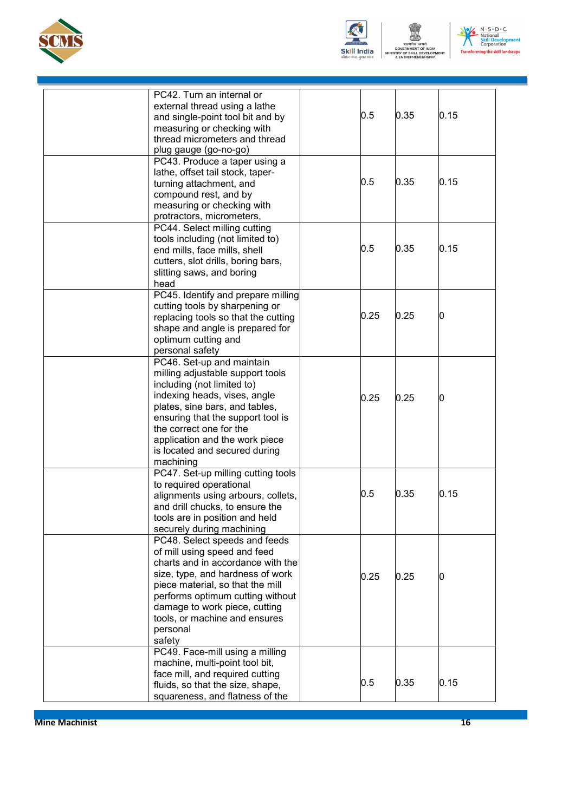![](_page_18_Picture_0.jpeg)

![](_page_18_Picture_1.jpeg)

EVELO

![](_page_18_Picture_3.jpeg)

| PC42. Turn an internal or<br>external thread using a lathe<br>and single-point tool bit and by<br>measuring or checking with<br>thread micrometers and thread<br>plug gauge (go-no-go)                                                                                                                        | 0.5  | 0.35 | 0.15 |
|---------------------------------------------------------------------------------------------------------------------------------------------------------------------------------------------------------------------------------------------------------------------------------------------------------------|------|------|------|
| PC43. Produce a taper using a<br>lathe, offset tail stock, taper-<br>turning attachment, and<br>compound rest, and by<br>measuring or checking with<br>protractors, micrometers,                                                                                                                              | 0.5  | 0.35 | 0.15 |
| PC44. Select milling cutting<br>tools including (not limited to)<br>end mills, face mills, shell<br>cutters, slot drills, boring bars,<br>slitting saws, and boring<br>head                                                                                                                                   | 0.5  | 0.35 | 0.15 |
| PC45. Identify and prepare milling<br>cutting tools by sharpening or<br>replacing tools so that the cutting<br>shape and angle is prepared for<br>optimum cutting and<br>personal safety                                                                                                                      | 0.25 | 0.25 |      |
| PC46. Set-up and maintain<br>milling adjustable support tools<br>including (not limited to)<br>indexing heads, vises, angle<br>plates, sine bars, and tables,<br>ensuring that the support tool is<br>the correct one for the<br>application and the work piece<br>is located and secured during<br>machining | 0.25 | 0.25 |      |
| PC47. Set-up milling cutting tools<br>to required operational<br>alignments using arbours, collets,<br>and drill chucks, to ensure the<br>tools are in position and held<br>securely during machining                                                                                                         | 0.5  | 0.35 | 0.15 |
| PC48. Select speeds and feeds<br>of mill using speed and feed<br>charts and in accordance with the<br>size, type, and hardness of work<br>piece material, so that the mill<br>performs optimum cutting without<br>damage to work piece, cutting<br>tools, or machine and ensures<br>personal<br>safety        | 0.25 | 0.25 |      |
| PC49. Face-mill using a milling<br>machine, multi-point tool bit,<br>face mill, and required cutting<br>fluids, so that the size, shape,<br>squareness, and flatness of the                                                                                                                                   | 0.5  | 0.35 | 0.15 |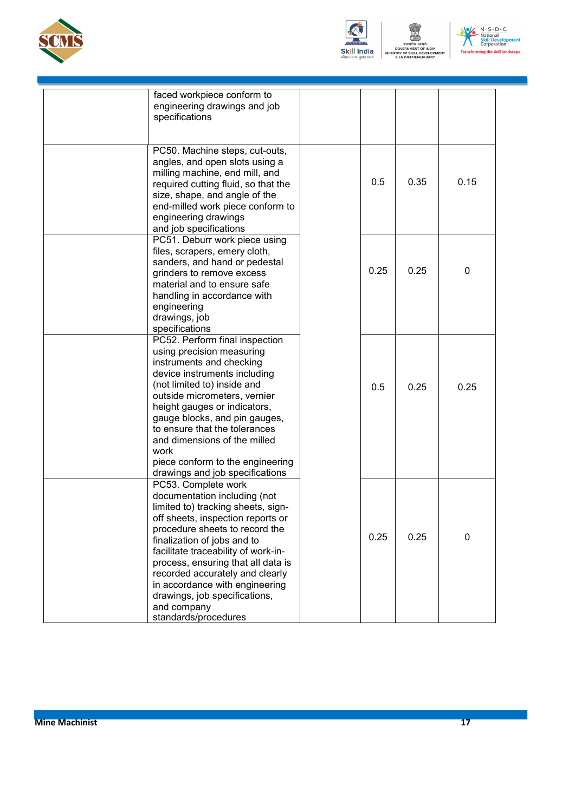![](_page_19_Picture_0.jpeg)

![](_page_19_Picture_1.jpeg)

ख्यान<br>रामेव जयते<br>SKILL DEVELOPI<br>EPRENEURSHIP  $N$ 

![](_page_19_Picture_3.jpeg)

| faced workpiece conform to<br>engineering drawings and job<br>specifications                                                                                                                                                                                                                                                                                                                                              |      |      |              |
|---------------------------------------------------------------------------------------------------------------------------------------------------------------------------------------------------------------------------------------------------------------------------------------------------------------------------------------------------------------------------------------------------------------------------|------|------|--------------|
|                                                                                                                                                                                                                                                                                                                                                                                                                           |      |      |              |
| PC50. Machine steps, cut-outs,<br>angles, and open slots using a<br>milling machine, end mill, and<br>required cutting fluid, so that the<br>size, shape, and angle of the<br>end-milled work piece conform to<br>engineering drawings<br>and job specifications                                                                                                                                                          | 0.5  | 0.35 | 0.15         |
| PC51. Deburr work piece using<br>files, scrapers, emery cloth,<br>sanders, and hand or pedestal<br>grinders to remove excess<br>material and to ensure safe<br>handling in accordance with<br>engineering<br>drawings, job<br>specifications                                                                                                                                                                              | 0.25 | 0.25 | $\mathbf{0}$ |
| PC52. Perform final inspection<br>using precision measuring<br>instruments and checking<br>device instruments including<br>(not limited to) inside and<br>outside micrometers, vernier<br>height gauges or indicators,<br>gauge blocks, and pin gauges,<br>to ensure that the tolerances<br>and dimensions of the milled<br>work<br>piece conform to the engineering<br>drawings and job specifications                   | 0.5  | 0.25 | 0.25         |
| PC53. Complete work<br>documentation including (not<br>limited to) tracking sheets, sign-<br>off sheets, inspection reports or<br>procedure sheets to record the<br>finalization of jobs and to<br>facilitate traceability of work-in-<br>process, ensuring that all data is<br>recorded accurately and clearly<br>in accordance with engineering<br>drawings, job specifications,<br>and company<br>standards/procedures | 0.25 | 0.25 | $\mathbf{0}$ |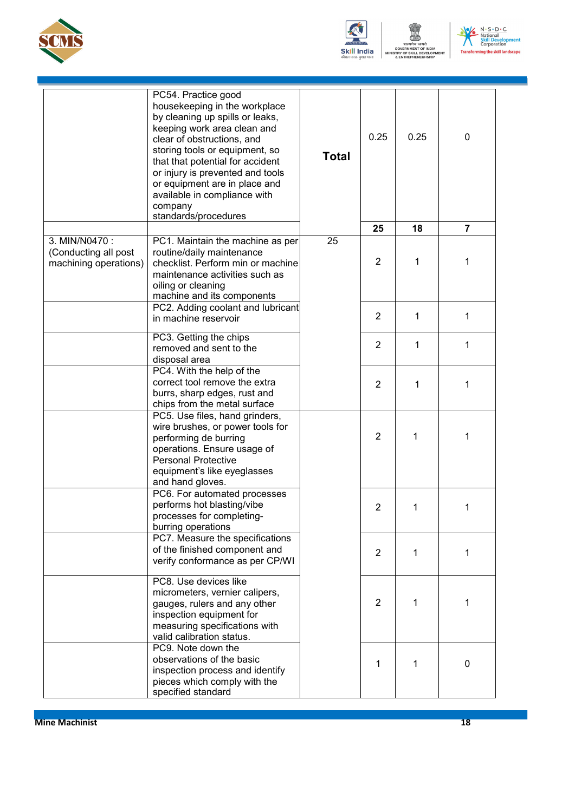![](_page_20_Picture_0.jpeg)

![](_page_20_Picture_1.jpeg)

िकार)<br>एमेव जयते<br>MENT OF INDIA<br>KILL DEVELOP<br>PRENEURSHIP .<br>NT

![](_page_20_Picture_3.jpeg)

|                                                                | PC54. Practice good<br>housekeeping in the workplace<br>by cleaning up spills or leaks,<br>keeping work area clean and<br>clear of obstructions, and<br>storing tools or equipment, so<br>that that potential for accident<br>or injury is prevented and tools<br>or equipment are in place and<br>available in compliance with<br>company<br>standards/procedures | <b>Total</b> | 0.25           | 0.25        | $\mathbf{0}$   |
|----------------------------------------------------------------|--------------------------------------------------------------------------------------------------------------------------------------------------------------------------------------------------------------------------------------------------------------------------------------------------------------------------------------------------------------------|--------------|----------------|-------------|----------------|
|                                                                |                                                                                                                                                                                                                                                                                                                                                                    |              | 25             | 18          | $\overline{7}$ |
| 3. MIN/N0470:<br>(Conducting all post<br>machining operations) | PC1. Maintain the machine as per<br>routine/daily maintenance<br>checklist. Perform min or machine<br>maintenance activities such as<br>oiling or cleaning<br>machine and its components                                                                                                                                                                           | 25           | $\overline{2}$ | 1           | 1              |
|                                                                | PC2. Adding coolant and lubricant<br>in machine reservoir                                                                                                                                                                                                                                                                                                          |              | 2              | 1           | 1              |
|                                                                | PC3. Getting the chips<br>removed and sent to the<br>disposal area                                                                                                                                                                                                                                                                                                 |              | 2              | 1           | 1              |
|                                                                | PC4. With the help of the<br>correct tool remove the extra<br>burrs, sharp edges, rust and<br>chips from the metal surface                                                                                                                                                                                                                                         |              | $\overline{2}$ | 1           | 1              |
|                                                                | PC5. Use files, hand grinders,<br>wire brushes, or power tools for<br>performing de burring<br>operations. Ensure usage of<br>Personal Protective<br>equipment's like eyeglasses<br>and hand gloves.                                                                                                                                                               |              | $\overline{2}$ | 1           | 1              |
|                                                                | PC6. For automated processes<br>performs hot blasting/vibe<br>processes for completing-<br>burring operations                                                                                                                                                                                                                                                      |              | $\overline{2}$ | 1           | 1              |
|                                                                | PC7. Measure the specifications<br>of the finished component and<br>verify conformance as per CP/WI                                                                                                                                                                                                                                                                |              | $\overline{2}$ | $\mathbf 1$ | 1              |
|                                                                | PC8. Use devices like<br>micrometers, vernier calipers,<br>gauges, rulers and any other<br>inspection equipment for<br>measuring specifications with<br>valid calibration status.                                                                                                                                                                                  |              | $\overline{2}$ | 1           | 1              |
|                                                                | PC9. Note down the<br>observations of the basic<br>inspection process and identify<br>pieces which comply with the<br>specified standard                                                                                                                                                                                                                           |              | 1              | 1           | 0              |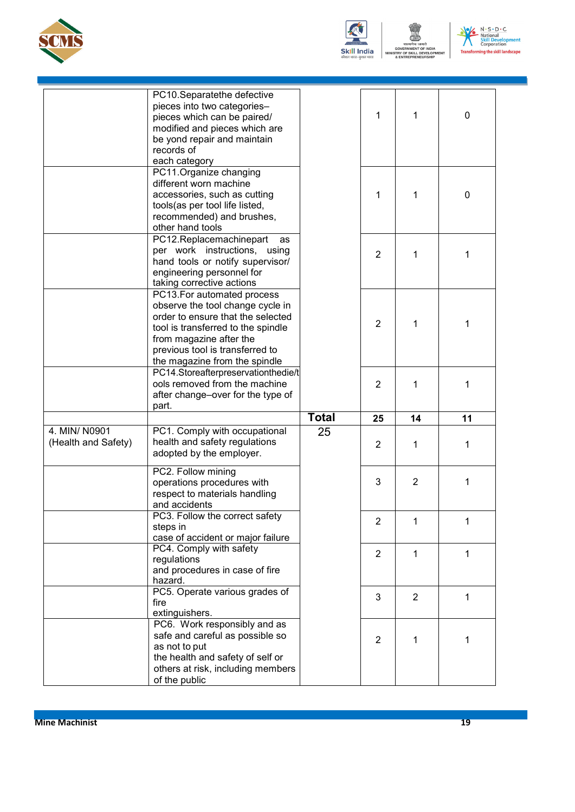![](_page_21_Picture_0.jpeg)

![](_page_21_Picture_1.jpeg)

ष्ट्र<br>प्रमेव जयते<br>MENT OF INDIA<br>SKILL DEVELOPI<br>:PRENEURSHIP .<br>NT

![](_page_21_Picture_3.jpeg)

|                                      | PC10.Separatethe defective<br>pieces into two categories-<br>pieces which can be paired/<br>modified and pieces which are<br>be yond repair and maintain<br>records of<br>each category                                                  |              | 1              | 1              | 0  |
|--------------------------------------|------------------------------------------------------------------------------------------------------------------------------------------------------------------------------------------------------------------------------------------|--------------|----------------|----------------|----|
|                                      | PC11.Organize changing<br>different worn machine<br>accessories, such as cutting<br>tools(as per tool life listed,<br>recommended) and brushes,<br>other hand tools                                                                      |              | 1              | 1              | 0  |
|                                      | PC12.Replacemachinepart<br>as<br>per work instructions, using<br>hand tools or notify supervisor/<br>engineering personnel for<br>taking corrective actions                                                                              |              | 2              | 1              | 1  |
|                                      | PC13.For automated process<br>observe the tool change cycle in<br>order to ensure that the selected<br>tool is transferred to the spindle<br>from magazine after the<br>previous tool is transferred to<br>the magazine from the spindle |              | $\overline{2}$ | 1              | 1  |
|                                      | PC14.Storeafterpreservationthedie/t<br>ools removed from the machine<br>after change-over for the type of<br>part.                                                                                                                       |              | 2              | 1              | 1  |
|                                      |                                                                                                                                                                                                                                          | <b>Total</b> | 25             | 14             | 11 |
| 4. MIN/ N0901<br>(Health and Safety) | PC1. Comply with occupational<br>health and safety regulations<br>adopted by the employer.                                                                                                                                               | 25           | 2              | 1              | 1  |
|                                      | PC2. Follow mining<br>operations procedures with<br>respect to materials handling<br>and accidents                                                                                                                                       |              | 3              | $\overline{2}$ | 1  |
|                                      | PC3. Follow the correct safety<br>steps in<br>case of accident or major failure                                                                                                                                                          |              | $\overline{2}$ | 1              | 1  |
|                                      | PC4. Comply with safety<br>regulations<br>and procedures in case of fire<br>hazard.                                                                                                                                                      |              | $\overline{2}$ | 1              | 1  |
|                                      | PC5. Operate various grades of<br>fire<br>extinguishers.                                                                                                                                                                                 |              | 3              | $\overline{2}$ | 1  |
|                                      | PC6. Work responsibly and as<br>safe and careful as possible so<br>as not to put<br>the health and safety of self or<br>others at risk, including members<br>of the public                                                               |              | $\overline{2}$ | 1              | 1  |